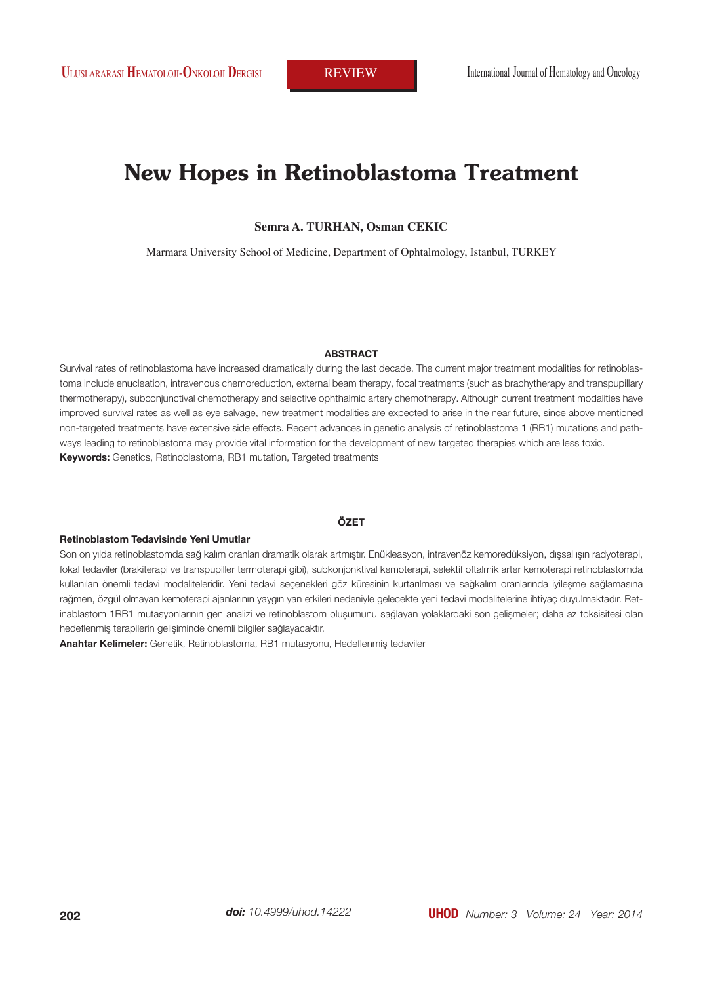# **New Hopes in Retinoblastoma Treatment**

**Semra A. TURHAN, Osman CEKIC**

Marmara University School of Medicine, Department of Ophtalmology, Istanbul, TURKEY

#### **ABSTRACT**

Survival rates of retinoblastoma have increased dramatically during the last decade. The current major treatment modalities for retinoblastoma include enucleation, intravenous chemoreduction, external beam therapy, focal treatments (such as brachytherapy and transpupillary thermotherapy), subconjunctival chemotherapy and selective ophthalmic artery chemotherapy. Although current treatment modalities have improved survival rates as well as eye salvage, new treatment modalities are expected to arise in the near future, since above mentioned non-targeted treatments have extensive side effects. Recent advances in genetic analysis of retinoblastoma 1 (RB1) mutations and pathways leading to retinoblastoma may provide vital information for the development of new targeted therapies which are less toxic. **Keywords:** Genetics, Retinoblastoma, RB1 mutation, Targeted treatments

#### **ÖZET**

#### **Retinoblastom Tedavisinde Yeni Umutlar**

Son on yılda retinoblastomda sağ kalım oranları dramatik olarak artmıştır. Enükleasyon, intravenöz kemoredüksiyon, dışsal ışın radyoterapi, fokal tedaviler (brakiterapi ve transpupiller termoterapi gibi), subkonjonktival kemoterapi, selektif oftalmik arter kemoterapi retinoblastomda kullanılan önemli tedavi modaliteleridir. Yeni tedavi seçenekleri göz küresinin kurtarılması ve sağkalım oranlarında iyileşme sağlamasına rağmen, özgül olmayan kemoterapi ajanlarının yaygın yan etkileri nedeniyle gelecekte yeni tedavi modalitelerine ihtiyaç duyulmaktadır. Retinablastom 1RB1 mutasyonlarının gen analizi ve retinoblastom oluşumunu sağlayan yolaklardaki son gelişmeler; daha az toksisitesi olan hedeflenmiş terapilerin gelişiminde önemli bilgiler sağlayacaktır.

**Anahtar Kelimeler:** Genetik, Retinoblastoma, RB1 mutasyonu, Hedeflenmiş tedaviler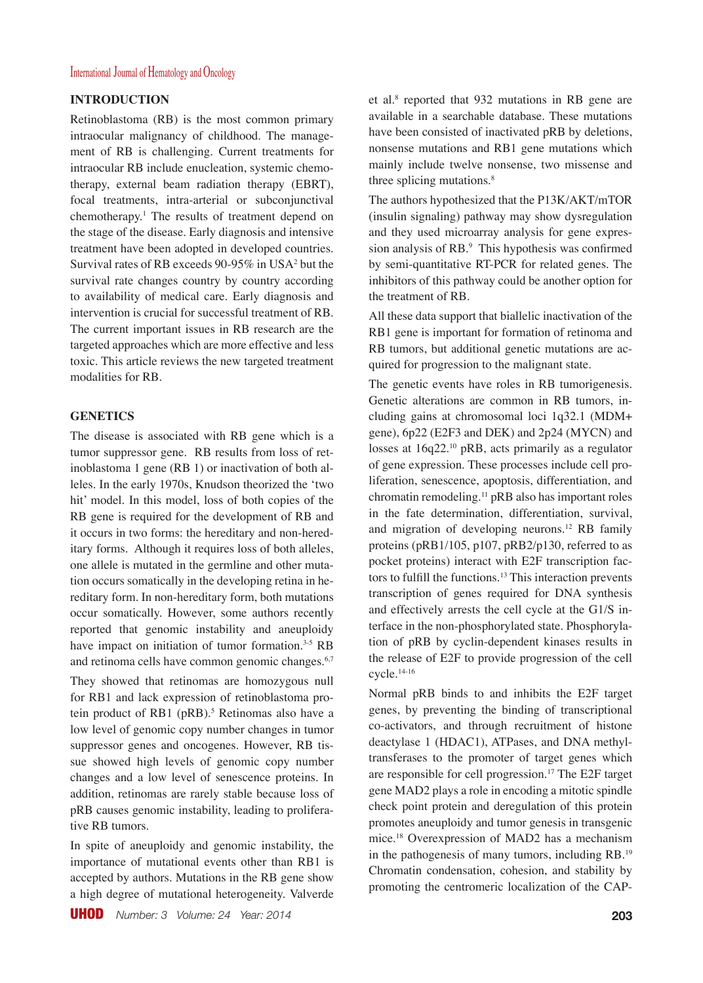## **INTRODUCTION**

Retinoblastoma (RB) is the most common primary intraocular malignancy of childhood. The management of RB is challenging. Current treatments for intraocular RB include enucleation, systemic chemotherapy, external beam radiation therapy (EBRT), focal treatments, intra-arterial or subconjunctival chemotherapy.1 The results of treatment depend on the stage of the disease. Early diagnosis and intensive treatment have been adopted in developed countries. Survival rates of RB exceeds 90-95% in USA2 but the survival rate changes country by country according to availability of medical care. Early diagnosis and intervention is crucial for successful treatment of RB. The current important issues in RB research are the targeted approaches which are more effective and less toxic. This article reviews the new targeted treatment modalities for RB.

#### **GENETICS**

The disease is associated with RB gene which is a tumor suppressor gene. RB results from loss of retinoblastoma 1 gene (RB 1) or inactivation of both alleles. In the early 1970s, Knudson theorized the 'two hit' model. In this model, loss of both copies of the RB gene is required for the development of RB and it occurs in two forms: the hereditary and non-hereditary forms. Although it requires loss of both alleles, one allele is mutated in the germline and other mutation occurs somatically in the developing retina in hereditary form. In non-hereditary form, both mutations occur somatically. However, some authors recently reported that genomic instability and aneuploidy have impact on initiation of tumor formation.<sup>3-5</sup> RB and retinoma cells have common genomic changes.<sup>6,7</sup>

They showed that retinomas are homozygous null for RB1 and lack expression of retinoblastoma protein product of RB1 (pRB).<sup>5</sup> Retinomas also have a low level of genomic copy number changes in tumor suppressor genes and oncogenes. However, RB tissue showed high levels of genomic copy number changes and a low level of senescence proteins. In addition, retinomas are rarely stable because loss of pRB causes genomic instability, leading to proliferative RB tumors.

In spite of aneuploidy and genomic instability, the importance of mutational events other than RB1 is accepted by authors. Mutations in the RB gene show a high degree of mutational heterogeneity. Valverde

UHOD *Number: 3 Volume: 24 Year: 2014* **203**

et al.8 reported that 932 mutations in RB gene are available in a searchable database. These mutations have been consisted of inactivated pRB by deletions, nonsense mutations and RB1 gene mutations which mainly include twelve nonsense, two missense and three splicing mutations.<sup>8</sup>

The authors hypothesized that the P13K/AKT/mTOR (insulin signaling) pathway may show dysregulation and they used microarray analysis for gene expression analysis of RB.<sup>9</sup> This hypothesis was confirmed by semi-quantitative RT-PCR for related genes. The inhibitors of this pathway could be another option for the treatment of RB.

All these data support that biallelic inactivation of the RB1 gene is important for formation of retinoma and RB tumors, but additional genetic mutations are acquired for progression to the malignant state.

The genetic events have roles in RB tumorigenesis. Genetic alterations are common in RB tumors, including gains at chromosomal loci 1q32.1 (MDM+ gene), 6p22 (E2F3 and DEK) and 2p24 (MYCN) and losses at 16q22.10 pRB, acts primarily as a regulator of gene expression. These processes include cell proliferation, senescence, apoptosis, differentiation, and chromatin remodeling.11 pRB also has important roles in the fate determination, differentiation, survival, and migration of developing neurons.12 RB family proteins (pRB1/105, p107, pRB2/p130, referred to as pocket proteins) interact with E2F transcription factors to fulfill the functions.13 This interaction prevents transcription of genes required for DNA synthesis and effectively arrests the cell cycle at the G1/S interface in the non-phosphorylated state. Phosphorylation of pRB by cyclin-dependent kinases results in the release of E2F to provide progression of the cell cycle.14-16

Normal pRB binds to and inhibits the E2F target genes, by preventing the binding of transcriptional co-activators, and through recruitment of histone deactylase 1 (HDAC1), ATPases, and DNA methyltransferases to the promoter of target genes which are responsible for cell progression.<sup>17</sup> The E2F target gene MAD2 plays a role in encoding a mitotic spindle check point protein and deregulation of this protein promotes aneuploidy and tumor genesis in transgenic mice.18 Overexpression of MAD2 has a mechanism in the pathogenesis of many tumors, including RB.19 Chromatin condensation, cohesion, and stability by promoting the centromeric localization of the CAP-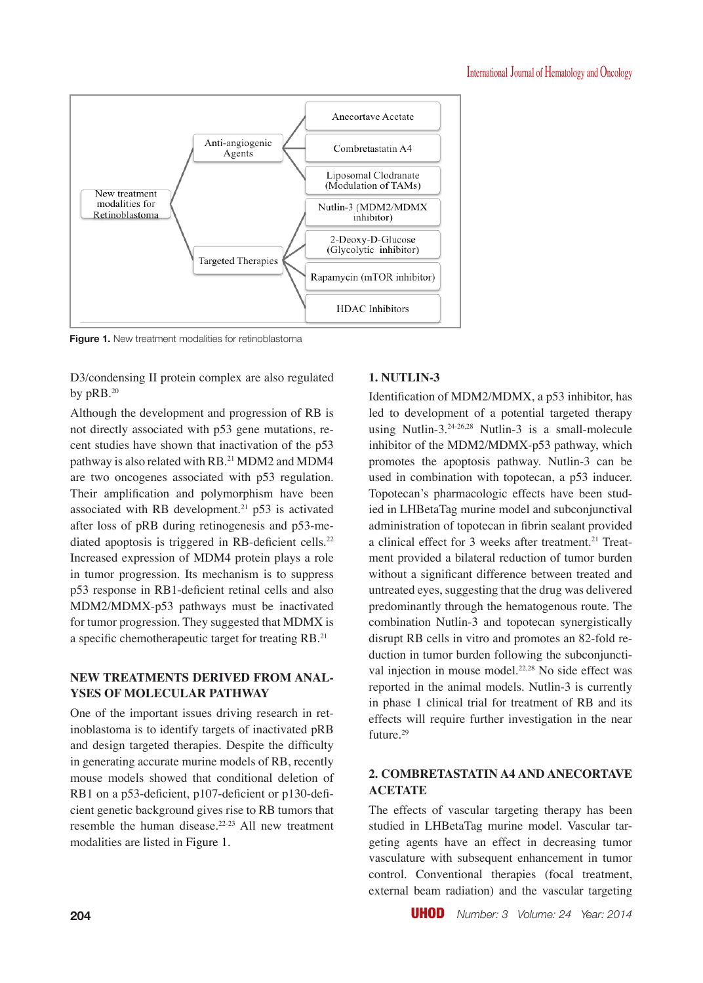

**Figure 1.** New treatment modalities for retinoblastoma

D3/condensing II protein complex are also regulated by pRB.<sup>20</sup>

Although the development and progression of RB is not directly associated with p53 gene mutations, recent studies have shown that inactivation of the p53 pathway is also related with RB.<sup>21</sup> MDM2 and MDM4 are two oncogenes associated with p53 regulation. Their amplification and polymorphism have been associated with RB development.21 p53 is activated after loss of pRB during retinogenesis and p53-mediated apoptosis is triggered in RB-deficient cells.<sup>22</sup> Increased expression of MDM4 protein plays a role in tumor progression. Its mechanism is to suppress p53 response in RB1-deficient retinal cells and also MDM2/MDMX-p53 pathways must be inactivated for tumor progression. They suggested that MDMX is a specific chemotherapeutic target for treating RB.<sup>21</sup>

## **NEW TREATMENTS DERIVED FROM ANAL-YSES OF MOLECULAR PATHWAY**

One of the important issues driving research in retinoblastoma is to identify targets of inactivated pRB and design targeted therapies. Despite the difficulty in generating accurate murine models of RB, recently mouse models showed that conditional deletion of RB1 on a p53-deficient, p107-deficient or p130-deficient genetic background gives rise to RB tumors that resemble the human disease.<sup>22-23</sup> All new treatment modalities are listed in Figure 1.

# **1. NUTLIN-3**

Identification of MDM2/MDMX, a p53 inhibitor, has led to development of a potential targeted therapy using Nutlin-3.24-26,28 Nutlin-3 is a small-molecule inhibitor of the MDM2/MDMX-p53 pathway, which promotes the apoptosis pathway. Nutlin-3 can be used in combination with topotecan, a p53 inducer. Topotecan's pharmacologic effects have been studied in LHBetaTag murine model and subconjunctival administration of topotecan in fibrin sealant provided a clinical effect for 3 weeks after treatment.<sup>21</sup> Treatment provided a bilateral reduction of tumor burden without a significant difference between treated and untreated eyes, suggesting that the drug was delivered predominantly through the hematogenous route. The combination Nutlin-3 and topotecan synergistically disrupt RB cells in vitro and promotes an 82-fold reduction in tumor burden following the subconjunctival injection in mouse model.<sup>22,28</sup> No side effect was reported in the animal models. Nutlin-3 is currently in phase 1 clinical trial for treatment of RB and its effects will require further investigation in the near future.<sup>29</sup>

# **2. COMBRETASTATIN A4 AND ANECORTAVE ACETATE**

The effects of vascular targeting therapy has been studied in LHBetaTag murine model. Vascular targeting agents have an effect in decreasing tumor vasculature with subsequent enhancement in tumor control. Conventional therapies (focal treatment, external beam radiation) and the vascular targeting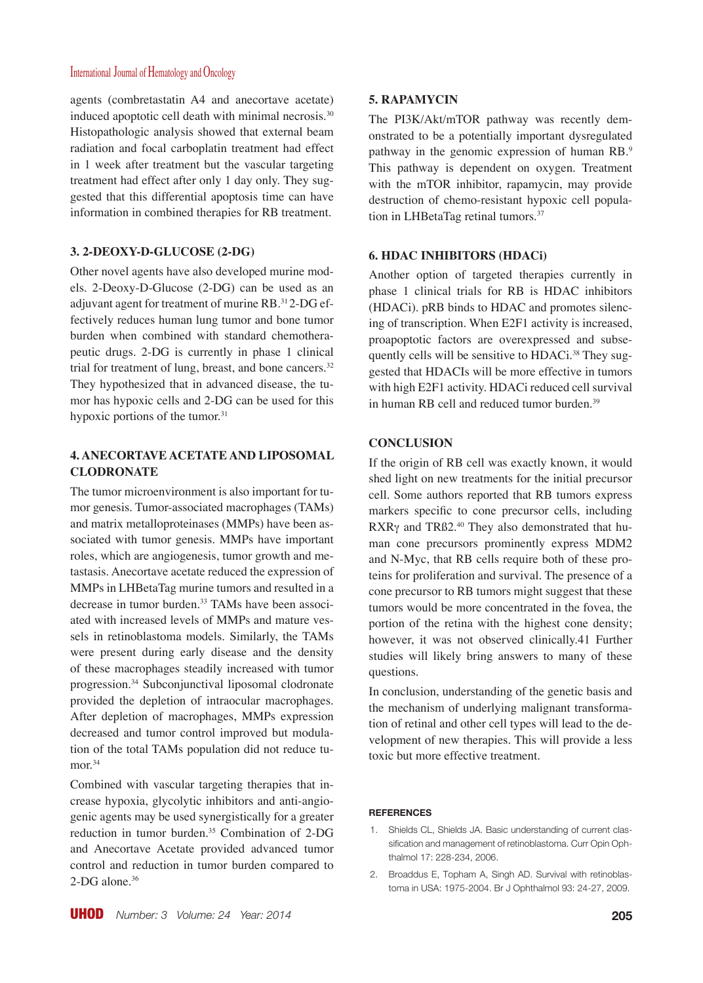agents (combretastatin A4 and anecortave acetate) induced apoptotic cell death with minimal necrosis.<sup>30</sup> Histopathologic analysis showed that external beam radiation and focal carboplatin treatment had effect in 1 week after treatment but the vascular targeting treatment had effect after only 1 day only. They suggested that this differential apoptosis time can have information in combined therapies for RB treatment.

## **3. 2-DEOXY-D-GLUCOSE (2-DG)**

Other novel agents have also developed murine models. 2-Deoxy-D-Glucose (2-DG) can be used as an adjuvant agent for treatment of murine RB.31 2-DG effectively reduces human lung tumor and bone tumor burden when combined with standard chemotherapeutic drugs. 2-DG is currently in phase 1 clinical trial for treatment of lung, breast, and bone cancers.<sup>32</sup> They hypothesized that in advanced disease, the tumor has hypoxic cells and 2-DG can be used for this hypoxic portions of the tumor. $31$ 

## **4. ANECORTAVE ACETATE AND LIPOSOMAL CLODRONATE**

The tumor microenvironment is also important for tumor genesis. Tumor-associated macrophages (TAMs) and matrix metalloproteinases (MMPs) have been associated with tumor genesis. MMPs have important roles, which are angiogenesis, tumor growth and metastasis. Anecortave acetate reduced the expression of MMPs in LHBetaTag murine tumors and resulted in a decrease in tumor burden.33 TAMs have been associated with increased levels of MMPs and mature vessels in retinoblastoma models. Similarly, the TAMs were present during early disease and the density of these macrophages steadily increased with tumor progression.34 Subconjunctival liposomal clodronate provided the depletion of intraocular macrophages. After depletion of macrophages, MMPs expression decreased and tumor control improved but modulation of the total TAMs population did not reduce tumor.<sup>34</sup>

Combined with vascular targeting therapies that increase hypoxia, glycolytic inhibitors and anti-angiogenic agents may be used synergistically for a greater reduction in tumor burden.35 Combination of 2-DG and Anecortave Acetate provided advanced tumor control and reduction in tumor burden compared to 2-DG alone.<sup>36</sup>

#### **5. RAPAMYCIN**

The PI3K/Akt/mTOR pathway was recently demonstrated to be a potentially important dysregulated pathway in the genomic expression of human RB.9 This pathway is dependent on oxygen. Treatment with the mTOR inhibitor, rapamycin, may provide destruction of chemo-resistant hypoxic cell population in LHBetaTag retinal tumors.<sup>37</sup>

#### **6. HDAC INHIBITORS (HDACi)**

Another option of targeted therapies currently in phase 1 clinical trials for RB is HDAC inhibitors (HDACi). pRB binds to HDAC and promotes silencing of transcription. When E2F1 activity is increased, proapoptotic factors are overexpressed and subsequently cells will be sensitive to HDACi.<sup>38</sup> They suggested that HDACIs will be more effective in tumors with high E2F1 activity. HDACi reduced cell survival in human RB cell and reduced tumor burden.<sup>39</sup>

#### **CONCLUSION**

If the origin of RB cell was exactly known, it would shed light on new treatments for the initial precursor cell. Some authors reported that RB tumors express markers specific to cone precursor cells, including RXRγ and TRß2.40 They also demonstrated that human cone precursors prominently express MDM2 and N-Myc, that RB cells require both of these proteins for proliferation and survival. The presence of a cone precursor to RB tumors might suggest that these tumors would be more concentrated in the fovea, the portion of the retina with the highest cone density; however, it was not observed clinically.41 Further studies will likely bring answers to many of these questions.

In conclusion, understanding of the genetic basis and the mechanism of underlying malignant transformation of retinal and other cell types will lead to the development of new therapies. This will provide a less toxic but more effective treatment.

#### **REFERENCES**

- 1. Shields CL, Shields JA. Basic understanding of current classification and management of retinoblastoma. Curr Opin Ophthalmol 17: 228-234, 2006.
- 2. Broaddus E, Topham A, Singh AD. Survival with retinoblastoma in USA: 1975-2004. Br J Ophthalmol 93: 24-27, 2009.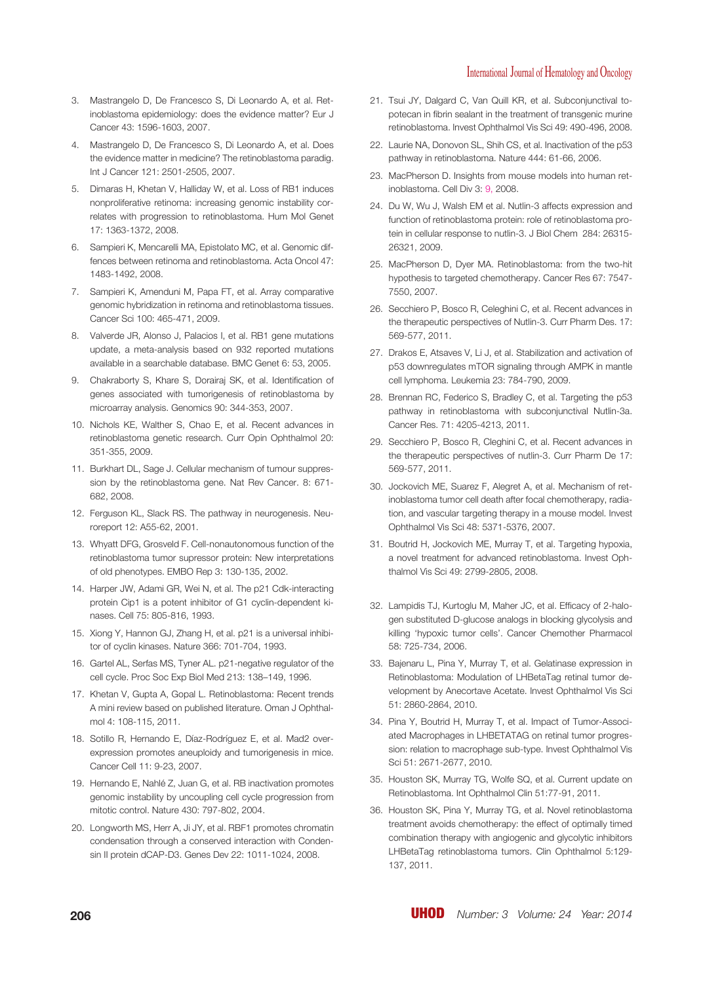- 3. Mastrangelo D, De Francesco S, Di Leonardo A, et al. Retinoblastoma epidemiology: does the evidence matter? Eur J Cancer 43: 1596-1603, 2007.
- 4. Mastrangelo D, De Francesco S, Di Leonardo A, et al. Does the evidence matter in medicine? The retinoblastoma paradig. Int J Cancer 121: 2501-2505, 2007.
- 5. Dimaras H, Khetan V, Halliday W, et al. Loss of RB1 induces nonproliferative retinoma: increasing genomic instability correlates with progression to retinoblastoma. Hum Mol Genet 17: 1363-1372, 2008.
- 6. Sampieri K, Mencarelli MA, Epistolato MC, et al. Genomic diffences between retinoma and retinoblastoma. Acta Oncol 47: 1483-1492, 2008.
- 7. Sampieri K, Amenduni M, Papa FT, et al. Array comparative genomic hybridization in retinoma and retinoblastoma tissues. Cancer Sci 100: 465-471, 2009.
- 8. Valverde JR, Alonso J, Palacios I, et al. RB1 gene mutations update, a meta-analysis based on 932 reported mutations available in a searchable database. BMC Genet 6: 53, 2005.
- 9. Chakraborty S, Khare S, Dorairaj SK, et al. Identification of genes associated with tumorigenesis of retinoblastoma by microarray analysis. Genomics 90: 344-353, 2007.
- 10. Nichols KE, Walther S, Chao E, et al. Recent advances in retinoblastoma genetic research. Curr Opin Ophthalmol 20: 351-355, 2009.
- 11. Burkhart DL, Sage J. Cellular mechanism of tumour suppression by the retinoblastoma gene. Nat Rev Cancer. 8: 671- 682, 2008.
- 12. Ferguson KL, Slack RS. The pathway in neurogenesis. Neuroreport 12: A55-62, 2001.
- 13. Whyatt DFG, Grosveld F. Cell-nonautonomous function of the retinoblastoma tumor supressor protein: New interpretations of old phenotypes. EMBO Rep 3: 130-135, 2002.
- 14. Harper JW, Adami GR, Wei N, et al. The p21 Cdk-interacting protein Cip1 is a potent inhibitor of G1 cyclin-dependent kinases. Cell 75: 805-816, 1993.
- 15. Xiong Y, Hannon GJ, Zhang H, et al. p21 is a universal inhibitor of cyclin kinases. Nature 366: 701-704, 1993.
- 16. Gartel AL, Serfas MS, Tyner AL. p21-negative regulator of the cell cycle. Proc Soc Exp Biol Med 213: 138–149, 1996.
- 17. Khetan V, Gupta A, Gopal L. Retinoblastoma: Recent trends A mini review based on published literature. Oman J Ophthalmol 4: 108-115, 2011.
- 18. Sotillo R, Hernando E, Díaz-Rodríguez E, et al. Mad2 overexpression promotes aneuploidy and tumorigenesis in mice. Cancer Cell 11: 9-23, 2007.
- 19. Hernando E, Nahlé Z, Juan G, et al. RB inactivation promotes genomic instability by uncoupling cell cycle progression from mitotic control. Nature 430: 797-802, 2004.
- 20. Longworth MS, Herr A, Ji JY, et al. RBF1 promotes chromatin condensation through a conserved interaction with Condensin II protein dCAP-D3. Genes Dev 22: 1011-1024, 2008.
- 21. Tsui JY, Dalgard C, Van Quill KR, et al. Subconjunctival topotecan in fibrin sealant in the treatment of transgenic murine retinoblastoma. Invest Ophthalmol Vis Sci 49: 490-496, 2008.
- 22. Laurie NA, Donovon SL, Shih CS, et al. Inactivation of the p53 pathway in retinoblastoma. Nature 444: 61-66, 2006.
- 23. MacPherson D. Insights from mouse models into human retinoblastoma. Cell Div 3: 9, 2008.
- 24. Du W, Wu J, Walsh EM et al. Nutlin-3 affects expression and function of retinoblastoma protein: role of retinoblastoma protein in cellular response to nutlin-3. J Biol Chem 284: 26315- 26321, 2009.
- 25. MacPherson D, Dyer MA. Retinoblastoma: from the two-hit hypothesis to targeted chemotherapy. Cancer Res 67: 7547- 7550, 2007.
- 26. Secchiero P, Bosco R, Celeghini C, et al. Recent advances in the therapeutic perspectives of Nutlin-3. Curr Pharm Des. 17: 569-577, 2011.
- 27. Drakos E, Atsaves V, Li J, et al. Stabilization and activation of p53 downregulates mTOR signaling through AMPK in mantle cell lymphoma. Leukemia 23: 784-790, 2009.
- 28. Brennan RC, Federico S, Bradley C, et al. Targeting the p53 pathway in retinoblastoma with subconjunctival Nutlin-3a. Cancer Res. 71: 4205-4213, 2011.
- 29. Secchiero P, Bosco R, Cleghini C, et al. Recent advances in the therapeutic perspectives of nutlin-3. Curr Pharm De 17: 569-577, 2011.
- 30. Jockovich ME, Suarez F, Alegret A, et al. Mechanism of retinoblastoma tumor cell death after focal chemotherapy, radiation, and vascular targeting therapy in a mouse model. Invest Ophthalmol Vis Sci 48: 5371-5376, 2007.
- 31. Boutrid H, Jockovich ME, Murray T, et al. Targeting hypoxia, a novel treatment for advanced retinoblastoma. Invest Ophthalmol Vis Sci 49: 2799-2805, 2008.
- 32. Lampidis TJ, Kurtoglu M, Maher JC, et al. Efficacy of 2-halogen substituted D-glucose analogs in blocking glycolysis and killing 'hypoxic tumor cells'. Cancer Chemother Pharmacol 58: 725-734, 2006.
- 33. Bajenaru L, Pina Y, Murray T, et al. Gelatinase expression in Retinoblastoma: Modulation of LHBetaTag retinal tumor development by Anecortave Acetate. Invest Ophthalmol Vis Sci 51: 2860-2864, 2010.
- 34. Pina Y, Boutrid H, Murray T, et al. Impact of Tumor-Associated Macrophages in LHBETATAG on retinal tumor progression: relation to macrophage sub-type. Invest Ophthalmol Vis Sci 51: 2671-2677, 2010.
- 35. Houston SK, Murray TG, Wolfe SQ, et al. Current update on Retinoblastoma. Int Ophthalmol Clin 51:77-91, 2011.
- 36. Houston SK, Pina Y, Murray TG, et al. Novel retinoblastoma treatment avoids chemotherapy: the effect of optimally timed combination therapy with angiogenic and glycolytic inhibitors LHBetaTag retinoblastoma tumors. Clin Ophthalmol 5:129- 137, 2011.